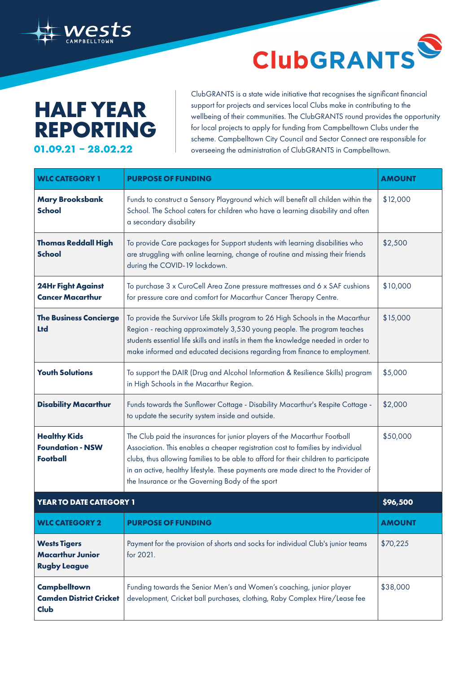## **HALF YEAR REPORTING 01.09.21 – 28.02.22**

ClubGRANTS is a state wide initiative that recognises the significant financial support for projects and services local Clubs make in contributing to the wellbeing of their communities. The ClubGRANTS round provides the opportunity for local projects to apply for funding from Campbelltown Clubs under the scheme. Campbelltown City Council and Sector Connect are responsible for overseeing the administration of ClubGRANTS in Campbelltown.

**ClubGRANTS** 

S

| <b>WLC CATEGORY 1</b>                                                 | <b>PURPOSE OF FUNDING</b>                                                                                                                                                                                                                                                                                                                                                                      | <b>AMOUNT</b> |
|-----------------------------------------------------------------------|------------------------------------------------------------------------------------------------------------------------------------------------------------------------------------------------------------------------------------------------------------------------------------------------------------------------------------------------------------------------------------------------|---------------|
| <b>Mary Brooksbank</b><br><b>School</b>                               | Funds to construct a Sensory Playground which will benefit all childen within the<br>School. The School caters for children who have a learning disability and often<br>a secondary disability                                                                                                                                                                                                 | \$12,000      |
| <b>Thomas Reddall High</b><br><b>School</b>                           | To provide Care packages for Support students with learning disabilities who<br>are struggling with online learning, change of routine and missing their friends<br>during the COVID-19 lockdown.                                                                                                                                                                                              | \$2,500       |
| <b>24Hr Fight Against</b><br><b>Cancer Macarthur</b>                  | To purchase 3 x CuroCell Area Zone pressure mattresses and 6 x SAF cushions<br>for pressure care and comfort for Macarthur Cancer Therapy Centre.                                                                                                                                                                                                                                              | \$10,000      |
| <b>The Business Concierge</b><br><b>Ltd</b>                           | To provide the Survivor Life Skills program to 26 High Schools in the Macarthur<br>Region - reaching approximately 3,530 young people. The program teaches<br>students essential life skills and instils in them the knowledge needed in order to<br>make informed and educated decisions regarding from finance to employment.                                                                | \$15,000      |
| <b>Youth Solutions</b>                                                | To support the DAIR (Drug and Alcohol Information & Resilience Skills) program<br>in High Schools in the Macarthur Region.                                                                                                                                                                                                                                                                     | \$5,000       |
| <b>Disability Macarthur</b>                                           | Funds towards the Sunflower Cottage - Disability Macarthur's Respite Cottage -<br>to update the security system inside and outside.                                                                                                                                                                                                                                                            | \$2,000       |
| <b>Healthy Kids</b><br><b>Foundation - NSW</b><br><b>Football</b>     | The Club paid the insurances for junior players of the Macarthur Football<br>Association. This enables a cheaper registration cost to families by individual<br>clubs, thus allowing families to be able to afford for their children to participate<br>in an active, healthy lifestyle. These payments are made direct to the Provider of<br>the Insurance or the Governing Body of the sport | \$50,000      |
| YEAR TO DATE CATEGORY 1                                               |                                                                                                                                                                                                                                                                                                                                                                                                | \$96,500      |
| <b>WLC CATEGORY 2</b>                                                 | <b>PURPOSE OF FUNDING</b>                                                                                                                                                                                                                                                                                                                                                                      | <b>AMOUNT</b> |
| <b>Wests Tigers</b><br><b>Macarthur Junior</b><br><b>Rugby League</b> | Payment for the provision of shorts and socks for individual Club's junior teams<br>for 2021.                                                                                                                                                                                                                                                                                                  | \$70,225      |
| <b>Campbelltown</b><br><b>Camden District Cricket</b><br>Club         | Funding towards the Senior Men's and Women's coaching, junior player<br>development, Cricket ball purchases, clothing, Raby Complex Hire/Lease fee                                                                                                                                                                                                                                             | \$38,000      |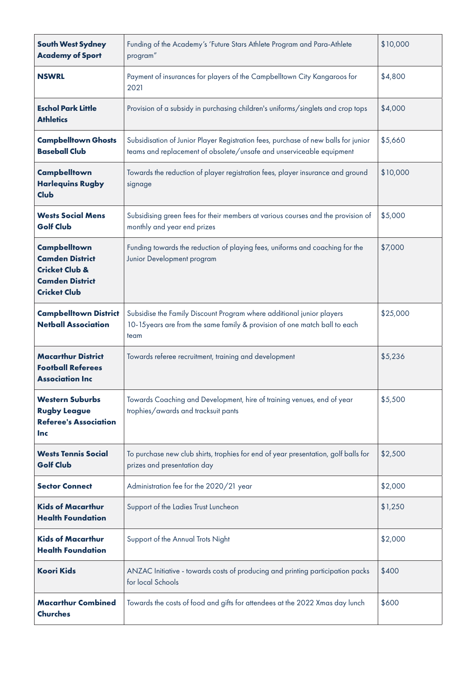| <b>South West Sydney</b><br><b>Academy of Sport</b>                                                                         | Funding of the Academy's 'Future Stars Athlete Program and Para-Athlete<br>program"                                                                         | \$10,000 |
|-----------------------------------------------------------------------------------------------------------------------------|-------------------------------------------------------------------------------------------------------------------------------------------------------------|----------|
| <b>NSWRL</b>                                                                                                                | Payment of insurances for players of the Campbelltown City Kangaroos for<br>2021                                                                            | \$4,800  |
| <b>Eschol Park Little</b><br><b>Athletics</b>                                                                               | Provision of a subsidy in purchasing children's uniforms/singlets and crop tops                                                                             | \$4,000  |
| <b>Campbelltown Ghosts</b><br><b>Baseball Club</b>                                                                          | Subsidisation of Junior Player Registration fees, purchase of new balls for junior<br>teams and replacement of obsolete/unsafe and unserviceable equipment  | \$5,660  |
| <b>Campbelltown</b><br><b>Harlequins Rugby</b><br>Club                                                                      | Towards the reduction of player registration fees, player insurance and ground<br>signage                                                                   | \$10,000 |
| <b>Wests Social Mens</b><br><b>Golf Club</b>                                                                                | Subsidising green fees for their members at various courses and the provision of<br>monthly and year end prizes                                             | \$5,000  |
| <b>Campbelltown</b><br><b>Camden District</b><br><b>Cricket Club &amp;</b><br><b>Camden District</b><br><b>Cricket Club</b> | Funding towards the reduction of playing fees, uniforms and coaching for the<br>Junior Development program                                                  | \$7,000  |
| <b>Campbelltown District</b><br><b>Netball Association</b>                                                                  | Subsidise the Family Discount Program where additional junior players<br>10-15 years are from the same family & provision of one match ball to each<br>team | \$25,000 |
| <b>Macarthur District</b><br><b>Football Referees</b><br><b>Association Inc</b>                                             | Towards referee recruitment, training and development                                                                                                       | \$5,236  |
| <b>Western Suburbs</b><br><b>Rugby League</b><br><b>Referee's Association</b><br><b>Inc</b>                                 | Towards Coaching and Development, hire of training venues, end of year<br>trophies/awards and tracksuit pants                                               | \$5,500  |
| <b>Wests Tennis Social</b><br><b>Golf Club</b>                                                                              | To purchase new club shirts, trophies for end of year presentation, golf balls for<br>prizes and presentation day                                           | \$2,500  |
| <b>Sector Connect</b>                                                                                                       | Administration fee for the 2020/21 year                                                                                                                     | \$2,000  |
| <b>Kids of Macarthur</b><br><b>Health Foundation</b>                                                                        | Support of the Ladies Trust Luncheon                                                                                                                        | \$1,250  |
| <b>Kids of Macarthur</b><br><b>Health Foundation</b>                                                                        | Support of the Annual Trots Night                                                                                                                           | \$2,000  |
| <b>Koori Kids</b>                                                                                                           | ANZAC Initiative - towards costs of producing and printing participation packs<br>for local Schools                                                         | \$400    |
| <b>Macarthur Combined</b><br><b>Churches</b>                                                                                | Towards the costs of food and gifts for attendees at the 2022 Xmas day lunch                                                                                | \$600    |